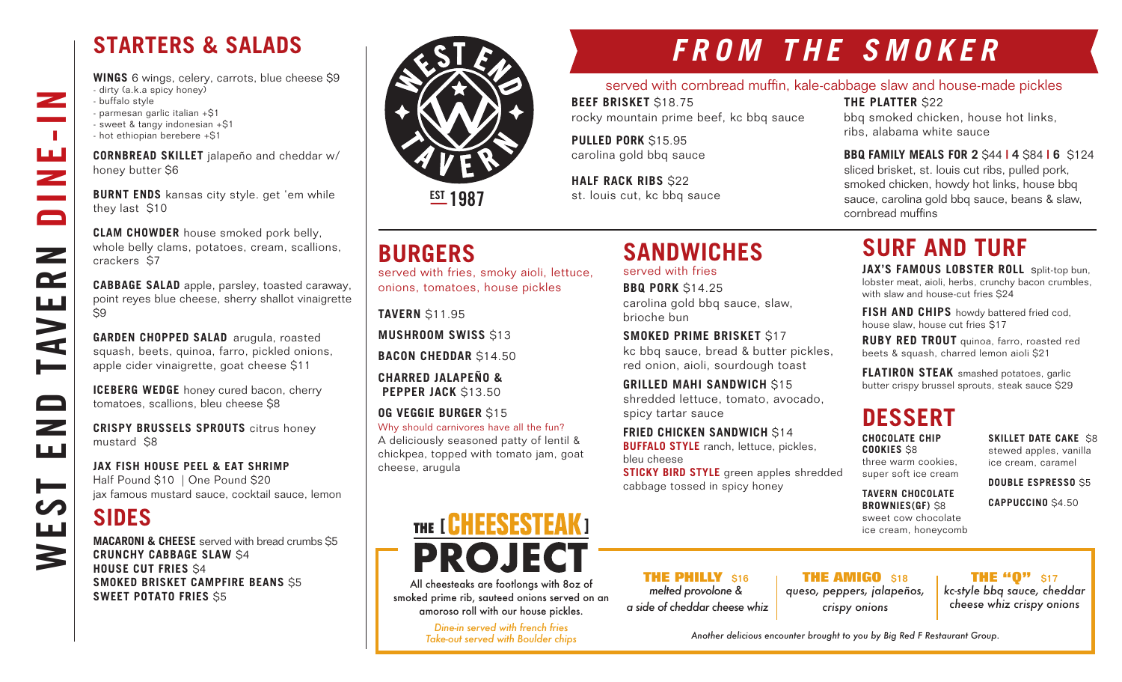## **STARTERS & SALADS**

**WINGS** 6 wings, celery, carrots, blue cheese \$9 - dirty (a.k.a spicy honey) - buffalo style - parmesan garlic italian +\$1 - sweet & tangy indonesian +\$1 - hot ethiopian berebere +\$1

**CORNBREAD SKILLET** jalapeño and cheddar w/ honey butter \$6

**BURNT ENDS** kansas city style. get 'em while they last \$10

**CLAM CHOWDER** house smoked pork belly, whole belly clams, potatoes, cream, scallions, crackers \$7

**CABBAGE SALAD** apple, parsley, toasted caraway, point reyes blue cheese, sherry shallot vinaigrette  $\overline{\mathsf{S}}9$ 

**GARDEN CHOPPED SALAD** arugula, roasted squash, beets, quinoa, farro, pickled onions, apple cider vinaigrette, goat cheese \$11

**ICEBERG WEDGE** honey cured bacon, cherry tomatoes, scallions, bleu cheese \$8

**CRISPY BRUSSELS SPROUTS** citrus honey mustard \$8

**JAX FISH HOUSE PEEL & EAT SHRIMP** Half Pound \$10 | One Pound \$20 jax famous mustard sauce, cocktail sauce, lemon

## **SIDES**

WEST END TAVERN DINE-IN

صط

 $\qquad \qquad \Box$ 

 $\overline{\phantom{0}}$ ШÚ

⊫

<u>LLI</u>

3

**AVE** 

 $\overline{\phantom{a}}$ 

 $\mathbb{R}^n$ 

ш<br>Z

 $\blacksquare$ 

 $\mathbf{z}$ 

 $\mathbf{r}$ 

**MACARONI & CHEESE** served with bread crumbs \$5 **CRUNCHY CABBAGE SLAW** \$4 **HOUSE CUT FRIES** \$4 **SMOKED BRISKET CAMPFIRE BEANS** \$5 **SWEET POTATO FRIES** \$5



**EST 1987** 

## **BURGERS**

served with fries, smoky aioli, lettuce, onions, tomatoes, house pickles

**TAVERN** \$11.95

**MUSHROOM SWISS** \$13

**BACON CHEDDAR** \$14.50

**CHARRED JALAPEÑO & PEPPER JACK** \$13.50

**OG VEGGIE BURGER** \$15

Why should carnivores have all the fun? A deliciously seasoned patty of lentil & chickpea, topped with tomato jam, goat cheese, arugula

# THE [ GHEESESTEAK ] **PROJEC**

All cheesteaks are footlongs with 8oz of smoked prime rib, sauteed onions served on an amoroso roll with our house pickles.

> *Dine-in served with french fries Take-out served with Boulder chips*

*FROM THE SMOKER*

#### served with cornbread muffin, kale-cabbage slaw and house-made pickles

**BEEF BRISKET** \$18.75 rocky mountain prime beef, kc bbq sauce

**SANDWICHES** 

carolina gold bbq sauce, slaw,

**SMOKED PRIME BRISKET** \$17

**FRIED CHICKEN SANDWICH** \$14 **BUFFALO STYLE** ranch, lettuce, pickles,

cabbage tossed in spicy honey

**THE PHILLY** \$16 *melted provolone & a side of cheddar cheese whiz*

kc bbq sauce, bread & butter pickles, red onion, aioli, sourdough toast **GRILLED MAHI SANDWICH S15** shredded lettuce, tomato, avocado,

**STICKY BIRD STYLE** green apples shredded

served with fries **BBQ PORK** \$14.25

spicy tartar sauce

bleu cheese

brioche bun

**PULLED PORK** \$15.95 carolina gold bbq sauce

**HALF RACK RIBS \$22** st. louis cut, kc bbq sauce **THE PLATTER** \$22

bbq smoked chicken, house hot links, ribs, alabama white sauce

### **BBQ FAMILY MEALS FOR 2** \$44 **| 4** \$84 **| 6** \$124 sliced brisket, st. louis cut ribs, pulled pork,

smoked chicken, howdy hot links, house bbq sauce, carolina gold bbq sauce, beans & slaw, cornbread muffins

## **SURF AND TURF**

**JAX'S FAMOUS LOBSTER ROLL** split-top bun, lobster meat, aioli, herbs, crunchy bacon crumbles, with slaw and house-cut fries \$24

**FISH AND CHIPS** howdy battered fried cod, house slaw, house cut fries \$17

**RUBY RED TROUT** quinoa, farro, roasted red beets & squash, charred lemon aioli \$21

**FLATIRON STEAK** smashed potatoes, garlic butter crispy brussel sprouts, steak sauce \$29

## **DESSERT**

**CHOCOLATE CHIP COOKIES** \$8 three warm cookies, super soft ice cream **SKILLET DATE CAKE S8** stewed apples, vanilla ice cream, caramel

**DOUBLE ESPRESSO** \$5 **CAPPUCCINO** \$4.50

**TAVERN CHOCOLATE** 

**BROWNIES(GF)** \$8 sweet cow chocolate ice cream, honeycomb

> **THE "0"** \$17 *kc-style bbq sauce, cheddar cheese whiz crispy onions*

*Another delicious encounter brought to you by Big Red F Restaurant Group.*

**THE AMIGO** \$18 *queso, peppers, jalapeños, crispy onions*